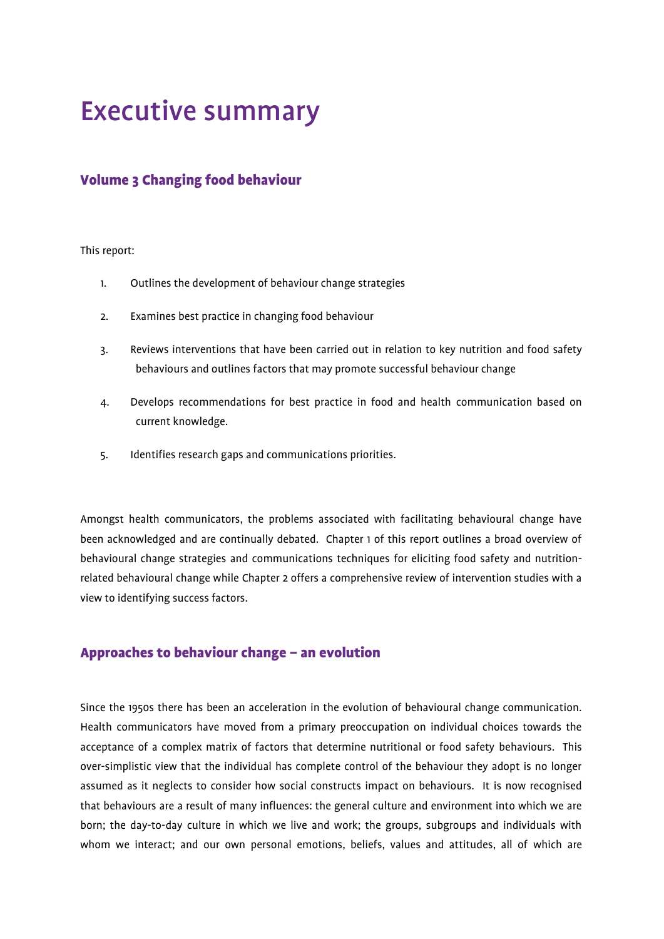# Executive summary

# Volume 3 Changing food behaviour

#### This report:

- 1. Outlines the development of behaviour change strategies
- 2. Examines best practice in changing food behaviour
- 3. Reviews interventions that have been carried out in relation to key nutrition and food safety behaviours and outlines factors that may promote successful behaviour change
- 4. Develops recommendations for best practice in food and health communication based on current knowledge.
- 5. Identifies research gaps and communications priorities.

Amongst health communicators, the problems associated with facilitating behavioural change have been acknowledged and are continually debated. Chapter 1 of this report outlines a broad overview of behavioural change strategies and communications techniques for eliciting food safety and nutritionrelated behavioural change while Chapter 2 offers a comprehensive review of intervention studies with a view to identifying success factors.

## Approaches to behaviour change – an evolution

Since the 1950s there has been an acceleration in the evolution of behavioural change communication. Health communicators have moved from a primary preoccupation on individual choices towards the acceptance of a complex matrix of factors that determine nutritional or food safety behaviours. This over-simplistic view that the individual has complete control of the behaviour they adopt is no longer assumed as it neglects to consider how social constructs impact on behaviours. It is now recognised that behaviours are a result of many influences: the general culture and environment into which we are born; the day-to-day culture in which we live and work; the groups, subgroups and individuals with whom we interact; and our own personal emotions, beliefs, values and attitudes, all of which are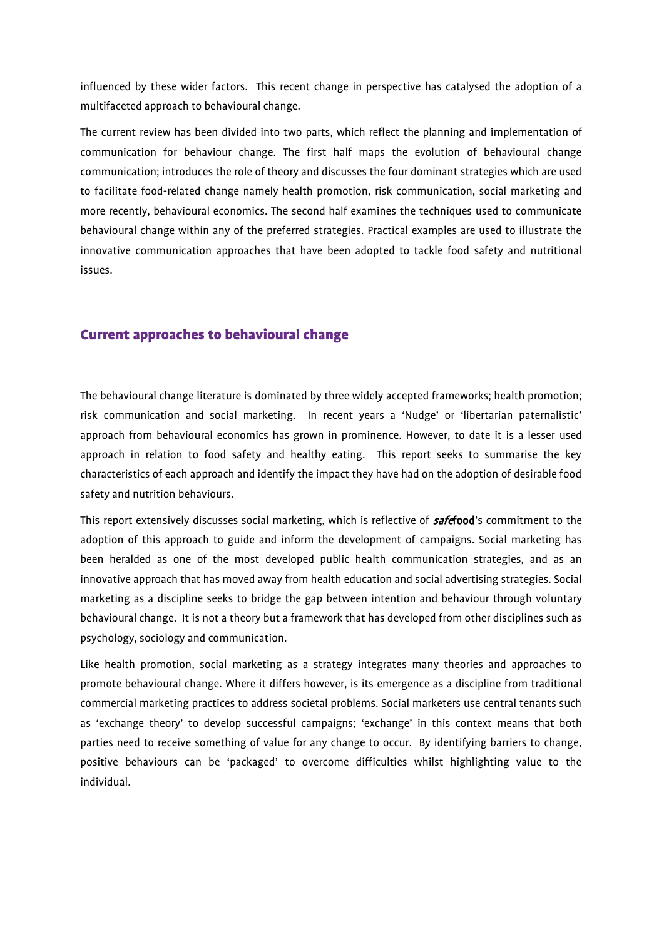influenced by these wider factors. This recent change in perspective has catalysed the adoption of a multifaceted approach to behavioural change.

The current review has been divided into two parts, which reflect the planning and implementation of communication for behaviour change. The first half maps the evolution of behavioural change communication; introduces the role of theory and discusses the four dominant strategies which are used to facilitate food-related change namely health promotion, risk communication, social marketing and more recently, behavioural economics. The second half examines the techniques used to communicate behavioural change within any of the preferred strategies. Practical examples are used to illustrate the innovative communication approaches that have been adopted to tackle food safety and nutritional issues.

## Current approaches to behavioural change

The behavioural change literature is dominated by three widely accepted frameworks; health promotion; risk communication and social marketing. In recent years a 'Nudge' or 'libertarian paternalistic' approach from behavioural economics has grown in prominence. However, to date it is a lesser used approach in relation to food safety and healthy eating. This report seeks to summarise the key characteristics of each approach and identify the impact they have had on the adoption of desirable food safety and nutrition behaviours.

This report extensively discusses social marketing, which is reflective of **safefood**'s commitment to the adoption of this approach to guide and inform the development of campaigns. Social marketing has been heralded as one of the most developed public health communication strategies, and as an innovative approach that has moved away from health education and social advertising strategies. Social marketing as a discipline seeks to bridge the gap between intention and behaviour through voluntary behavioural change. It is not a theory but a framework that has developed from other disciplines such as psychology, sociology and communication.

Like health promotion, social marketing as a strategy integrates many theories and approaches to promote behavioural change. Where it differs however, is its emergence as a discipline from traditional commercial marketing practices to address societal problems. Social marketers use central tenants such as 'exchange theory' to develop successful campaigns; 'exchange' in this context means that both parties need to receive something of value for any change to occur. By identifying barriers to change, positive behaviours can be 'packaged' to overcome difficulties whilst highlighting value to the individual.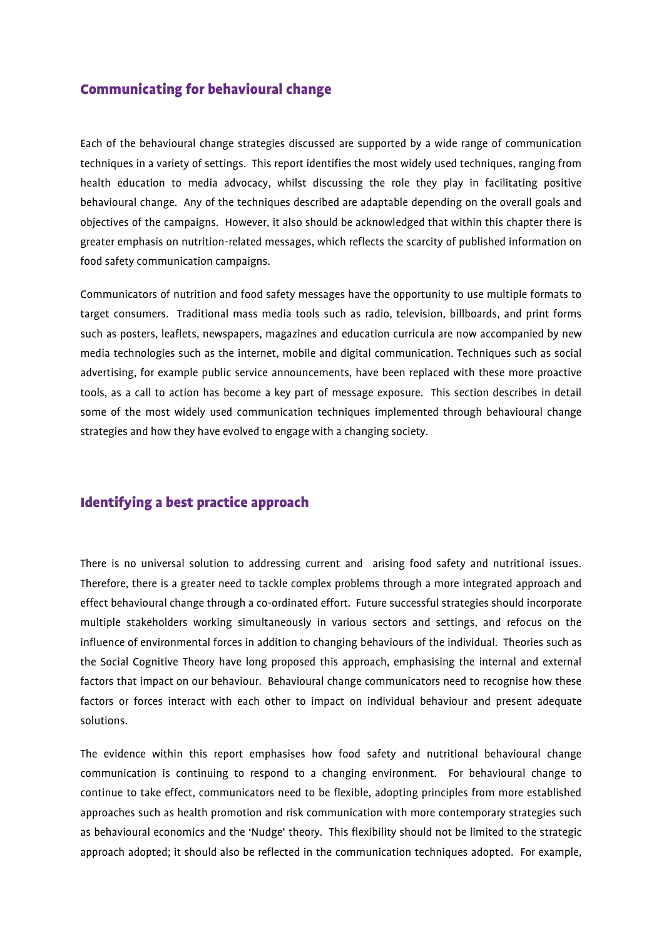## Communicating for behavioural change

Each of the behavioural change strategies discussed are supported by a wide range of communication techniques in a variety of settings. This report identifies the most widely used techniques, ranging from health education to media advocacy, whilst discussing the role they play in facilitating positive behavioural change. Any of the techniques described are adaptable depending on the overall goals and objectives of the campaigns. However, it also should be acknowledged that within this chapter there is greater emphasis on nutrition-related messages, which reflects the scarcity of published information on food safety communication campaigns.

Communicators of nutrition and food safety messages have the opportunity to use multiple formats to target consumers. Traditional mass media tools such as radio, television, billboards, and print forms such as posters, leaflets, newspapers, magazines and education curricula are now accompanied by new media technologies such as the internet, mobile and digital communication. Techniques such as social advertising, for example public service announcements, have been replaced with these more proactive tools, as a call to action has become a key part of message exposure. This section describes in detail some of the most widely used communication techniques implemented through behavioural change strategies and how they have evolved to engage with a changing society.

## Identifying a best practice approach

There is no universal solution to addressing current and arising food safety and nutritional issues. Therefore, there is a greater need to tackle complex problems through a more integrated approach and effect behavioural change through a co-ordinated effort. Future successful strategies should incorporate multiple stakeholders working simultaneously in various sectors and settings, and refocus on the influence of environmental forces in addition to changing behaviours of the individual. Theories such as the Social Cognitive Theory have long proposed this approach, emphasising the internal and external factors that impact on our behaviour. Behavioural change communicators need to recognise how these factors or forces interact with each other to impact on individual behaviour and present adequate solutions.

The evidence within this report emphasises how food safety and nutritional behavioural change communication is continuing to respond to a changing environment. For behavioural change to continue to take effect, communicators need to be flexible, adopting principles from more established approaches such as health promotion and risk communication with more contemporary strategies such as behavioural economics and the 'Nudge' theory. This flexibility should not be limited to the strategic approach adopted; it should also be reflected in the communication techniques adopted. For example,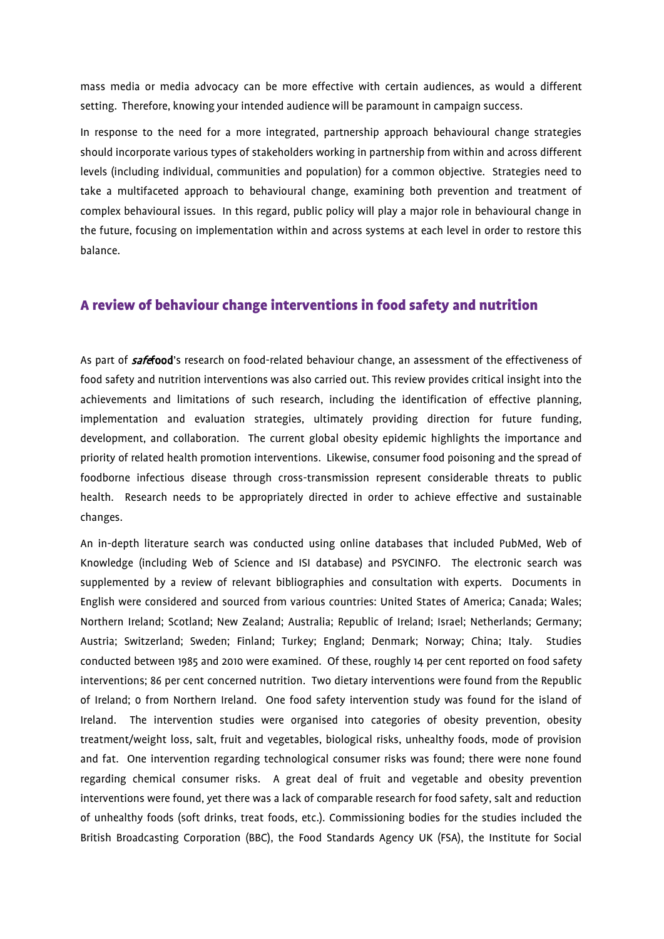mass media or media advocacy can be more effective with certain audiences, as would a different setting. Therefore, knowing your intended audience will be paramount in campaign success.

In response to the need for a more integrated, partnership approach behavioural change strategies should incorporate various types of stakeholders working in partnership from within and across different levels (including individual, communities and population) for a common objective. Strategies need to take a multifaceted approach to behavioural change, examining both prevention and treatment of complex behavioural issues. In this regard, public policy will play a major role in behavioural change in the future, focusing on implementation within and across systems at each level in order to restore this balance.

## A review of behaviour change interventions in food safety and nutrition

As part of **safefood**'s research on food-related behaviour change, an assessment of the effectiveness of food safety and nutrition interventions was also carried out. This review provides critical insight into the achievements and limitations of such research, including the identification of effective planning, implementation and evaluation strategies, ultimately providing direction for future funding, development, and collaboration. The current global obesity epidemic highlights the importance and priority of related health promotion interventions. Likewise, consumer food poisoning and the spread of foodborne infectious disease through cross-transmission represent considerable threats to public health. Research needs to be appropriately directed in order to achieve effective and sustainable changes.

An in-depth literature search was conducted using online databases that included PubMed, Web of Knowledge (including Web of Science and ISI database) and PSYCINFO. The electronic search was supplemented by a review of relevant bibliographies and consultation with experts. Documents in English were considered and sourced from various countries: United States of America; Canada; Wales; Northern Ireland; Scotland; New Zealand; Australia; Republic of Ireland; Israel; Netherlands; Germany; Austria; Switzerland; Sweden; Finland; Turkey; England; Denmark; Norway; China; Italy. Studies conducted between 1985 and 2010 were examined. Of these, roughly 14 per cent reported on food safety interventions; 86 per cent concerned nutrition. Two dietary interventions were found from the Republic of Ireland; 0 from Northern Ireland. One food safety intervention study was found for the island of Ireland. The intervention studies were organised into categories of obesity prevention, obesity treatment/weight loss, salt, fruit and vegetables, biological risks, unhealthy foods, mode of provision and fat. One intervention regarding technological consumer risks was found; there were none found regarding chemical consumer risks. A great deal of fruit and vegetable and obesity prevention interventions were found, yet there was a lack of comparable research for food safety, salt and reduction of unhealthy foods (soft drinks, treat foods, etc.). Commissioning bodies for the studies included the British Broadcasting Corporation (BBC), the Food Standards Agency UK (FSA), the Institute for Social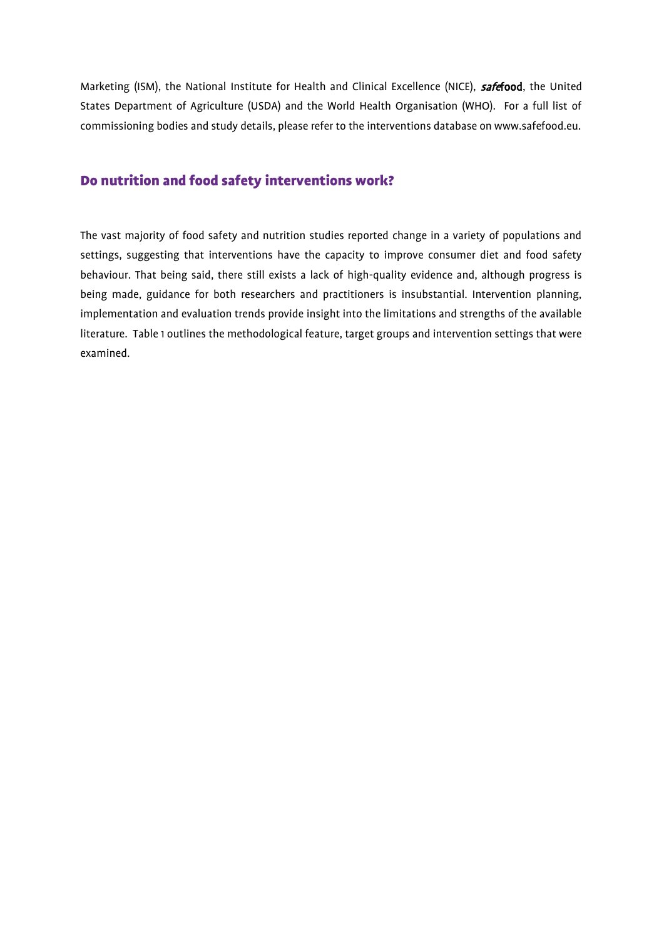Marketing (ISM), the National Institute for Health and Clinical Excellence (NICE), safefood, the United States Department of Agriculture (USDA) and the World Health Organisation (WHO). For a full list of commissioning bodies and study details, please refer to the interventions database on www.safefood.eu.

## Do nutrition and food safety interventions work?

The vast majority of food safety and nutrition studies reported change in a variety of populations and settings, suggesting that interventions have the capacity to improve consumer diet and food safety behaviour. That being said, there still exists a lack of high-quality evidence and, although progress is being made, guidance for both researchers and practitioners is insubstantial. Intervention planning, implementation and evaluation trends provide insight into the limitations and strengths of the available literature. Table 1 outlines the methodological feature, target groups and intervention settings that were examined.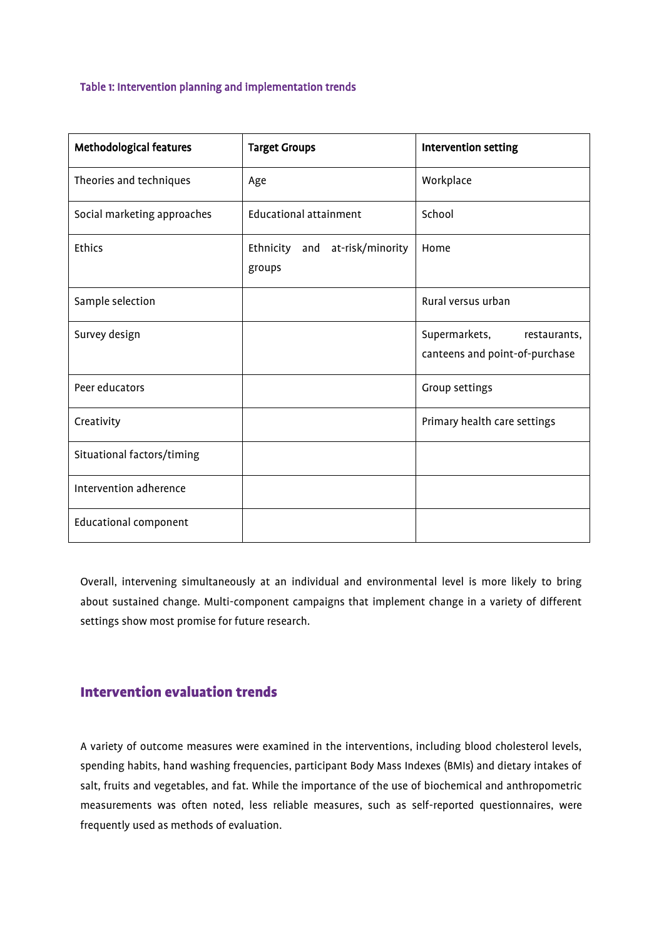#### Table 1: Intervention planning and implementation trends

| <b>Methodological features</b> | <b>Target Groups</b>                     | Intervention setting                                            |
|--------------------------------|------------------------------------------|-----------------------------------------------------------------|
| Theories and techniques        | Age                                      | Workplace                                                       |
| Social marketing approaches    | <b>Educational attainment</b>            | School                                                          |
| <b>Ethics</b>                  | Ethnicity and at-risk/minority<br>groups | Home                                                            |
| Sample selection               |                                          | Rural versus urban                                              |
| Survey design                  |                                          | Supermarkets,<br>restaurants,<br>canteens and point-of-purchase |
| Peer educators                 |                                          | Group settings                                                  |
| Creativity                     |                                          | Primary health care settings                                    |
| Situational factors/timing     |                                          |                                                                 |
| Intervention adherence         |                                          |                                                                 |
| <b>Educational component</b>   |                                          |                                                                 |

Overall, intervening simultaneously at an individual and environmental level is more likely to bring about sustained change. Multi-component campaigns that implement change in a variety of different settings show most promise for future research.

# Intervention evaluation trends

A variety of outcome measures were examined in the interventions, including blood cholesterol levels, spending habits, hand washing frequencies, participant Body Mass Indexes (BMIs) and dietary intakes of salt, fruits and vegetables, and fat. While the importance of the use of biochemical and anthropometric measurements was often noted, less reliable measures, such as self-reported questionnaires, were frequently used as methods of evaluation.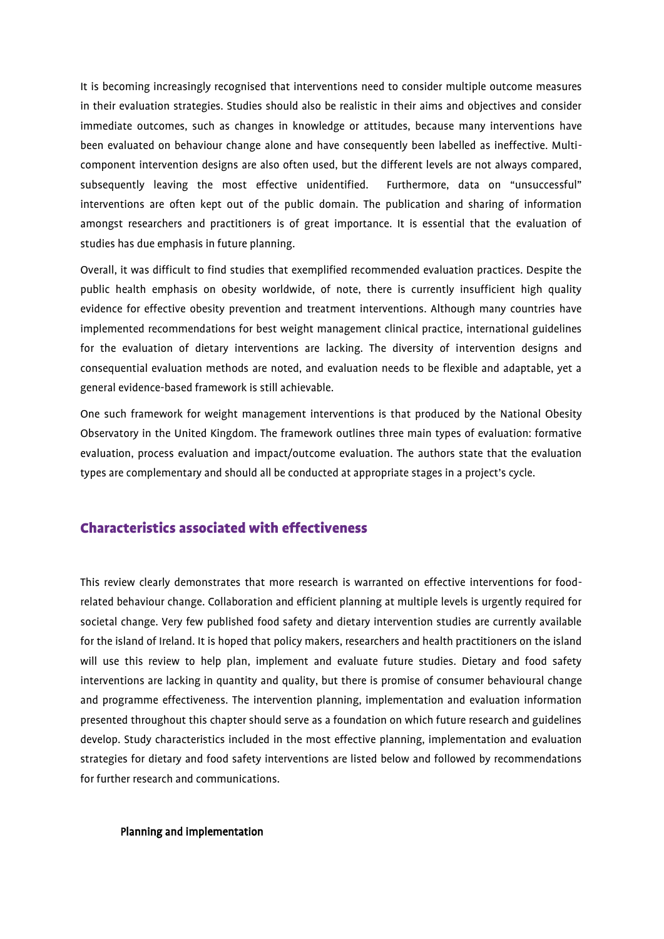It is becoming increasingly recognised that interventions need to consider multiple outcome measures in their evaluation strategies. Studies should also be realistic in their aims and objectives and consider immediate outcomes, such as changes in knowledge or attitudes, because many interventions have been evaluated on behaviour change alone and have consequently been labelled as ineffective. Multicomponent intervention designs are also often used, but the different levels are not always compared, subsequently leaving the most effective unidentified. Furthermore, data on "unsuccessful" interventions are often kept out of the public domain. The publication and sharing of information amongst researchers and practitioners is of great importance. It is essential that the evaluation of studies has due emphasis in future planning.

Overall, it was difficult to find studies that exemplified recommended evaluation practices. Despite the public health emphasis on obesity worldwide, of note, there is currently insufficient high quality evidence for effective obesity prevention and treatment interventions. Although many countries have implemented recommendations for best weight management clinical practice, international guidelines for the evaluation of dietary interventions are lacking. The diversity of intervention designs and consequential evaluation methods are noted, and evaluation needs to be flexible and adaptable, yet a general evidence-based framework is still achievable.

One such framework for weight management interventions is that produced by the National Obesity Observatory in the United Kingdom. The framework outlines three main types of evaluation: formative evaluation, process evaluation and impact/outcome evaluation. The authors state that the evaluation types are complementary and should all be conducted at appropriate stages in a project's cycle.

# Characteristics associated with effectiveness

This review clearly demonstrates that more research is warranted on effective interventions for foodrelated behaviour change. Collaboration and efficient planning at multiple levels is urgently required for societal change. Very few published food safety and dietary intervention studies are currently available for the island of Ireland. It is hoped that policy makers, researchers and health practitioners on the island will use this review to help plan, implement and evaluate future studies. Dietary and food safety interventions are lacking in quantity and quality, but there is promise of consumer behavioural change and programme effectiveness. The intervention planning, implementation and evaluation information presented throughout this chapter should serve as a foundation on which future research and guidelines develop. Study characteristics included in the most effective planning, implementation and evaluation strategies for dietary and food safety interventions are listed below and followed by recommendations for further research and communications.

#### Planning and implementation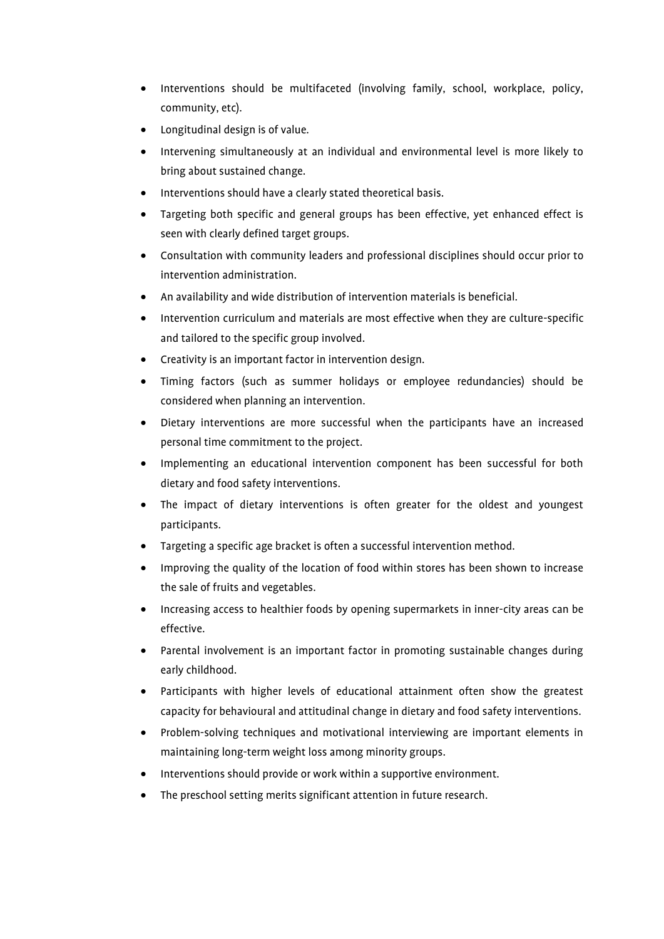- Interventions should be multifaceted (involving family, school, workplace, policy, community, etc).
- Longitudinal design is of value.
- Intervening simultaneously at an individual and environmental level is more likely to bring about sustained change.
- Interventions should have a clearly stated theoretical basis.
- Targeting both specific and general groups has been effective, yet enhanced effect is seen with clearly defined target groups.
- Consultation with community leaders and professional disciplines should occur prior to intervention administration.
- An availability and wide distribution of intervention materials is beneficial.
- Intervention curriculum and materials are most effective when they are culture-specific and tailored to the specific group involved.
- Creativity is an important factor in intervention design.
- Timing factors (such as summer holidays or employee redundancies) should be considered when planning an intervention.
- Dietary interventions are more successful when the participants have an increased personal time commitment to the project.
- Implementing an educational intervention component has been successful for both dietary and food safety interventions.
- The impact of dietary interventions is often greater for the oldest and youngest participants.
- Targeting a specific age bracket is often a successful intervention method.
- Improving the quality of the location of food within stores has been shown to increase the sale of fruits and vegetables.
- Increasing access to healthier foods by opening supermarkets in inner-city areas can be effective.
- Parental involvement is an important factor in promoting sustainable changes during early childhood.
- Participants with higher levels of educational attainment often show the greatest capacity for behavioural and attitudinal change in dietary and food safety interventions.
- Problem-solving techniques and motivational interviewing are important elements in maintaining long-term weight loss among minority groups.
- Interventions should provide or work within a supportive environment.
- The preschool setting merits significant attention in future research.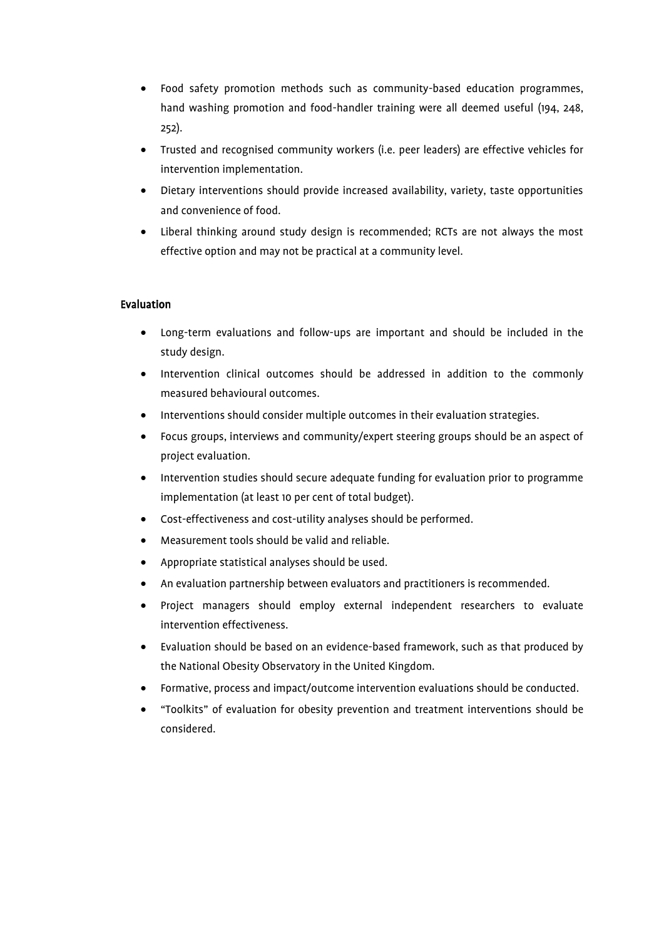- Food safety promotion methods such as community-based education programmes, hand washing promotion and food-handler training were all deemed useful (194, 248, 252).
- Trusted and recognised community workers (i.e. peer leaders) are effective vehicles for intervention implementation.
- Dietary interventions should provide increased availability, variety, taste opportunities and convenience of food.
- Liberal thinking around study design is recommended; RCTs are not always the most effective option and may not be practical at a community level.

#### Evaluation

- Long-term evaluations and follow-ups are important and should be included in the study design.
- Intervention clinical outcomes should be addressed in addition to the commonly measured behavioural outcomes.
- Interventions should consider multiple outcomes in their evaluation strategies.
- Focus groups, interviews and community/expert steering groups should be an aspect of project evaluation.
- Intervention studies should secure adequate funding for evaluation prior to programme implementation (at least 10 per cent of total budget).
- Cost-effectiveness and cost-utility analyses should be performed.
- Measurement tools should be valid and reliable.
- Appropriate statistical analyses should be used.
- An evaluation partnership between evaluators and practitioners is recommended.
- Project managers should employ external independent researchers to evaluate intervention effectiveness.
- Evaluation should be based on an evidence-based framework, such as that produced by the National Obesity Observatory in the United Kingdom.
- Formative, process and impact/outcome intervention evaluations should be conducted.
- "Toolkits" of evaluation for obesity prevention and treatment interventions should be considered.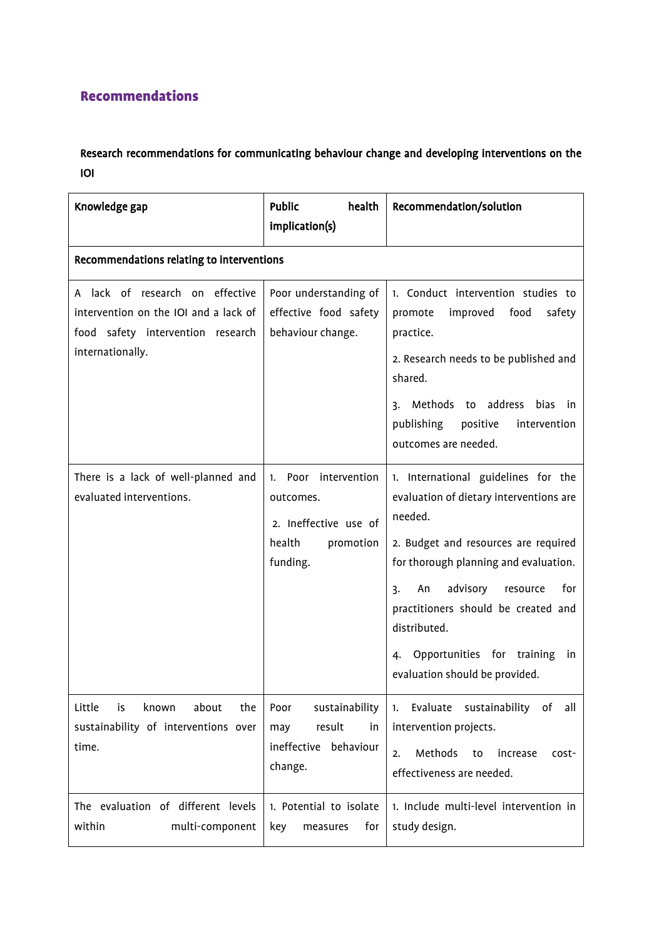# Recommendations

# Research recommendations for communicating behaviour change and developing interventions on the IOI

| Knowledge gap                                                                                                                     | health<br><b>Public</b><br>implication(s)                                                        | Recommendation/solution                                                                                                                                                                                                                                                                                                                               |
|-----------------------------------------------------------------------------------------------------------------------------------|--------------------------------------------------------------------------------------------------|-------------------------------------------------------------------------------------------------------------------------------------------------------------------------------------------------------------------------------------------------------------------------------------------------------------------------------------------------------|
| Recommendations relating to interventions                                                                                         |                                                                                                  |                                                                                                                                                                                                                                                                                                                                                       |
| A lack of research on effective<br>intervention on the IOI and a lack of<br>food safety intervention research<br>internationally. | Poor understanding of<br>effective food safety<br>behaviour change.                              | 1. Conduct intervention studies to<br>improved<br>food<br>promote<br>safety<br>practice.<br>2. Research needs to be published and<br>shared.<br>Methods to<br>address<br>bias in<br>3.<br>publishing<br>positive<br>intervention<br>outcomes are needed.                                                                                              |
| There is a lack of well-planned and<br>evaluated interventions.                                                                   | intervention<br>1. Poor<br>outcomes.<br>2. Ineffective use of<br>health<br>promotion<br>funding. | 1. International guidelines for the<br>evaluation of dietary interventions are<br>needed.<br>2. Budget and resources are required<br>for thorough planning and evaluation.<br>advisory<br>An<br>for<br>3.<br>resource<br>practitioners should be created and<br>distributed.<br>4. Opportunities for training<br>in<br>evaluation should be provided. |
| Little<br>about<br>is<br>known<br>the<br>sustainability of interventions over<br>time.                                            | sustainability<br>Poor<br>result<br>in<br>may<br>ineffective<br>behaviour<br>change.             | sustainability<br>Evaluate<br>of<br>all<br>1.<br>intervention projects.<br>Methods<br>to<br>increase<br>2.<br>cost-<br>effectiveness are needed.                                                                                                                                                                                                      |
| The evaluation of different levels<br>within<br>multi-component                                                                   | 1. Potential to isolate<br>for<br>key<br>measures                                                | 1. Include multi-level intervention in<br>study design.                                                                                                                                                                                                                                                                                               |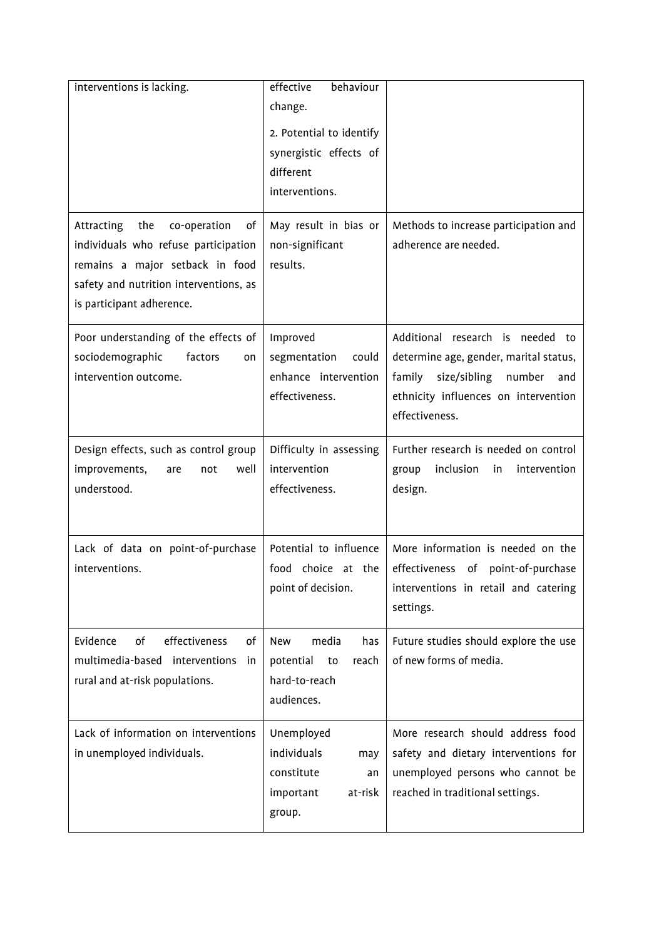| interventions is lacking.                                                                                                                                                                 | effective<br>behaviour<br>change.<br>2. Potential to identify<br>synergistic effects of<br>different<br>interventions. |                                                                                                                                                                                 |
|-------------------------------------------------------------------------------------------------------------------------------------------------------------------------------------------|------------------------------------------------------------------------------------------------------------------------|---------------------------------------------------------------------------------------------------------------------------------------------------------------------------------|
| Attracting<br>the<br>co-operation<br>of<br>individuals who refuse participation<br>remains a major setback in food<br>safety and nutrition interventions, as<br>is participant adherence. | May result in bias or<br>non-significant<br>results.                                                                   | Methods to increase participation and<br>adherence are needed.                                                                                                                  |
| Poor understanding of the effects of<br>sociodemographic<br>factors<br>on<br>intervention outcome.                                                                                        | Improved<br>segmentation<br>could<br>enhance intervention<br>effectiveness.                                            | Additional research is needed to<br>determine age, gender, marital status,<br>family<br>size/sibling<br>number<br>and<br>ethnicity influences on intervention<br>effectiveness. |
| Design effects, such as control group<br>improvements,<br>well<br>not<br>are<br>understood.                                                                                               | Difficulty in assessing<br>intervention<br>effectiveness.                                                              | Further research is needed on control<br>inclusion<br>group<br>intervention<br>in<br>design.                                                                                    |
| Lack of data on point-of-purchase<br>interventions.                                                                                                                                       | Potential to influence<br>food choice at the<br>point of decision.                                                     | More information is needed on the<br>effectiveness of point-of-purchase<br>interventions in retail and catering<br>settings.                                                    |
| Evidence<br>of<br>effectiveness<br>0f<br>multimedia-based interventions<br>in<br>rural and at-risk populations.                                                                           | New<br>media<br>has<br>potential<br>to<br>reach<br>hard-to-reach<br>audiences.                                         | Future studies should explore the use<br>of new forms of media.                                                                                                                 |
| Lack of information on interventions<br>in unemployed individuals.                                                                                                                        | Unemployed<br>individuals<br>may<br>constitute<br>an<br>important<br>at-risk<br>group.                                 | More research should address food<br>safety and dietary interventions for<br>unemployed persons who cannot be<br>reached in traditional settings.                               |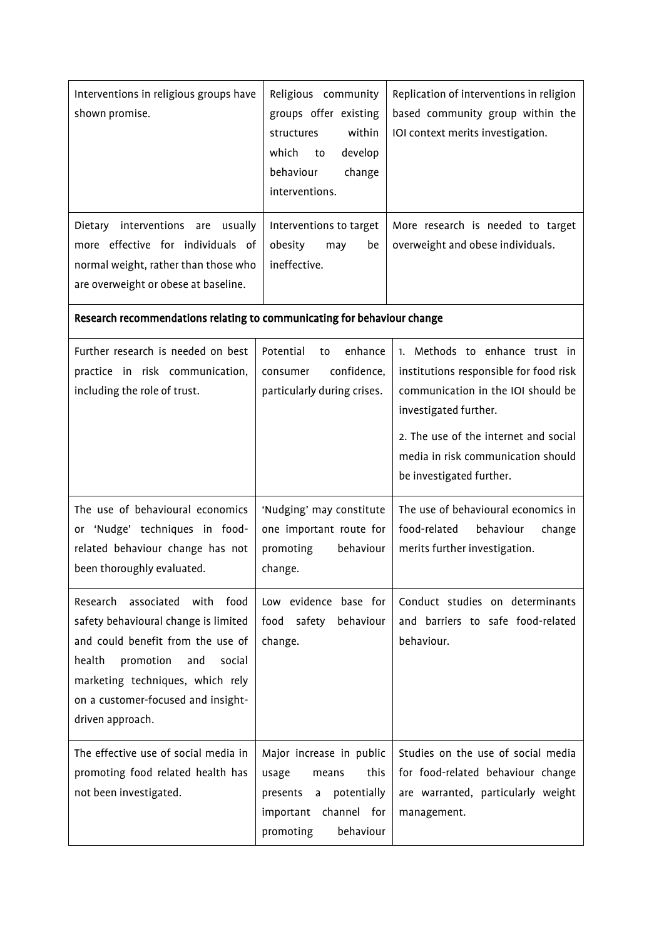| Interventions in religious groups have<br>shown promise.                                                                                               | Religious community<br>groups offer existing<br>within<br>structures<br>develop<br>which<br>to<br>behaviour<br>change<br>interventions. | Replication of interventions in religion<br>based community group within the<br>IOI context merits investigation.                                                                                                                                  |  |
|--------------------------------------------------------------------------------------------------------------------------------------------------------|-----------------------------------------------------------------------------------------------------------------------------------------|----------------------------------------------------------------------------------------------------------------------------------------------------------------------------------------------------------------------------------------------------|--|
| Dietary interventions are usually<br>more effective for individuals of<br>normal weight, rather than those who<br>are overweight or obese at baseline. | Interventions to target<br>obesity<br>be<br>may<br>ineffective.                                                                         | More research is needed to target<br>overweight and obese individuals.                                                                                                                                                                             |  |
| Research recommendations relating to communicating for behaviour change                                                                                |                                                                                                                                         |                                                                                                                                                                                                                                                    |  |
| Further research is needed on best<br>practice in risk communication,<br>including the role of trust.                                                  | enhance<br>Potential<br>to<br>confidence,<br>consumer<br>particularly during crises.                                                    | 1. Methods to enhance trust in<br>institutions responsible for food risk<br>communication in the IOI should be<br>investigated further.<br>2. The use of the internet and social<br>media in risk communication should<br>be investigated further. |  |
| The use of behavioural economics<br>or 'Nudge' techniques in food-<br>related behaviour change has not<br>been thoroughly evaluated.                   | 'Nudging' may constitute<br>one important route for<br>promoting<br>behaviour<br>change.                                                | The use of behavioural economics in<br>food-related<br>behaviour<br>change<br>merits further investigation.                                                                                                                                        |  |
| Research<br>associated with food<br>safety behavioural change is limited                                                                               | Low evidence base for<br>food<br>safety behaviour                                                                                       | Conduct studies on determinants<br>and barriers to safe food-related                                                                                                                                                                               |  |

| Sarety Defiavioural Charles is immed to 1000 - Sarety - Defiaviour |                           | ally paillers to sale lood-lelated |
|--------------------------------------------------------------------|---------------------------|------------------------------------|
| and could benefit from the use of                                  | change.                   | behaviour.                         |
| health<br>promotion and<br>social                                  |                           |                                    |
| marketing techniques, which rely                                   |                           |                                    |
| on a customer-focused and insight-                                 |                           |                                    |
| driven approach.                                                   |                           |                                    |
|                                                                    |                           |                                    |
| The effective use of social media in                               | Major increase in public  | Studies on the use of social media |
| promoting food related health has                                  | this<br>usage<br>means    | for food-related behaviour change  |
| not been investigated.                                             | a potentially<br>presents | are warranted, particularly weight |
|                                                                    | channel for<br>important  | management.                        |
|                                                                    | behaviour<br>promoting    |                                    |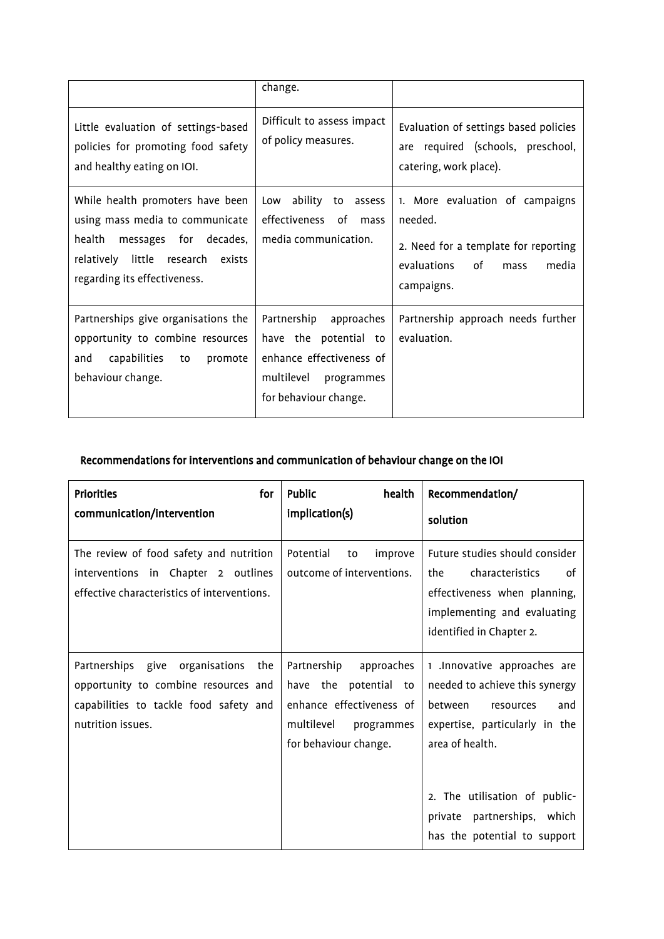|                                                                                                                                                                             | change.                                                                                                                          |                                                                                                                                        |
|-----------------------------------------------------------------------------------------------------------------------------------------------------------------------------|----------------------------------------------------------------------------------------------------------------------------------|----------------------------------------------------------------------------------------------------------------------------------------|
| Little evaluation of settings-based<br>policies for promoting food safety<br>and healthy eating on IOI.                                                                     | Difficult to assess impact<br>of policy measures.                                                                                | Evaluation of settings based policies<br>are required (schools, preschool,<br>catering, work place).                                   |
| While health promoters have been<br>using mass media to communicate<br>health<br>messages for decades,<br>relatively little research exists<br>regarding its effectiveness. | ability<br>Low<br>to<br>assess<br>effectiveness of<br>mass<br>media communication.                                               | 1. More evaluation of campaigns<br>needed.<br>2. Need for a template for reporting<br>evaluations<br>of<br>media<br>mass<br>campaigns. |
| Partnerships give organisations the<br>opportunity to combine resources<br>capabilities<br>and<br>to<br>promote<br>behaviour change.                                        | Partnership<br>approaches<br>have the potential to<br>enhance effectiveness of<br>multilevel programmes<br>for behaviour change. | Partnership approach needs further<br>evaluation.                                                                                      |

# Recommendations for interventions and communication of behaviour change on the IOI

| <b>Priorities</b><br>for<br>communication/intervention                                                                                        | Public<br>health<br>implication(s)                                                                                                  | Recommendation/<br>solution                                                                                                                                                                                                                                  |
|-----------------------------------------------------------------------------------------------------------------------------------------------|-------------------------------------------------------------------------------------------------------------------------------------|--------------------------------------------------------------------------------------------------------------------------------------------------------------------------------------------------------------------------------------------------------------|
| The review of food safety and nutrition<br>interventions in Chapter 2 outlines<br>effective characteristics of interventions.                 | Potential<br>improve<br>to<br>outcome of interventions.                                                                             | Future studies should consider<br>the<br>characteristics<br>0f<br>effectiveness when planning,<br>implementing and evaluating<br>identified in Chapter 2.                                                                                                    |
| Partnerships give<br>organisations the<br>opportunity to combine resources and<br>capabilities to tackle food safety and<br>nutrition issues. | Partnership<br>approaches<br>have the potential to<br>enhance effectiveness of<br>multilevel<br>programmes<br>for behaviour change. | 1 .Innovative approaches are<br>needed to achieve this synergy<br><b>between</b><br>resources<br>and<br>expertise, particularly in the<br>area of health.<br>2. The utilisation of public-<br>partnerships, which<br>private<br>has the potential to support |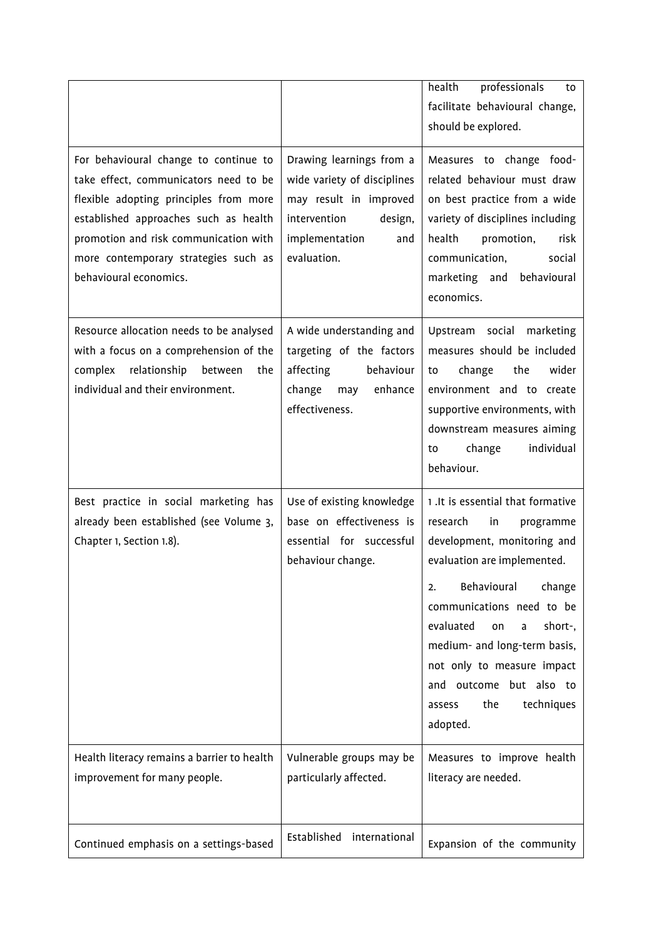|                                                                                                                                                                                                                                                                              |                                                                                                                                                      | health<br>professionals<br>to<br>facilitate behavioural change,<br>should be explored.                                                                                                                                                                                                                                                                            |
|------------------------------------------------------------------------------------------------------------------------------------------------------------------------------------------------------------------------------------------------------------------------------|------------------------------------------------------------------------------------------------------------------------------------------------------|-------------------------------------------------------------------------------------------------------------------------------------------------------------------------------------------------------------------------------------------------------------------------------------------------------------------------------------------------------------------|
| For behavioural change to continue to<br>take effect, communicators need to be<br>flexible adopting principles from more<br>established approaches such as health<br>promotion and risk communication with<br>more contemporary strategies such as<br>behavioural economics. | Drawing learnings from a<br>wide variety of disciplines<br>may result in improved<br>intervention<br>design,<br>implementation<br>and<br>evaluation. | Measures to change food-<br>related behaviour must draw<br>on best practice from a wide<br>variety of disciplines including<br>health<br>promotion,<br>risk<br>communication,<br>social<br>marketing and behavioural<br>economics.                                                                                                                                |
| Resource allocation needs to be analysed<br>with a focus on a comprehension of the<br>relationship between<br>complex<br>the<br>individual and their environment.                                                                                                            | A wide understanding and<br>targeting of the factors<br>affecting<br>behaviour<br>change<br>enhance<br>may<br>effectiveness.                         | Upstream social marketing<br>measures should be included<br>change<br>the<br>wider<br>to<br>environment and to create<br>supportive environments, with<br>downstream measures aiming<br>change<br>individual<br>to<br>behaviour.                                                                                                                                  |
| Best practice in social marketing has<br>already been established (see Volume 3,<br>Chapter 1, Section 1.8).                                                                                                                                                                 | Use of existing knowledge<br>base on effectiveness is<br>essential for successful<br>behaviour change.                                               | 1. It is essential that formative<br>research<br>in<br>programme<br>development, monitoring and<br>evaluation are implemented.<br>Behavioural<br>change<br>2.<br>communications need to be<br>evaluated<br>short-,<br>on<br>a<br>medium- and long-term basis,<br>not only to measure impact<br>and outcome but also to<br>the<br>techniques<br>assess<br>adopted. |
| Health literacy remains a barrier to health<br>improvement for many people.                                                                                                                                                                                                  | Vulnerable groups may be<br>particularly affected.                                                                                                   | Measures to improve health<br>literacy are needed.                                                                                                                                                                                                                                                                                                                |
| Continued emphasis on a settings-based                                                                                                                                                                                                                                       | Established<br>international                                                                                                                         | Expansion of the community                                                                                                                                                                                                                                                                                                                                        |